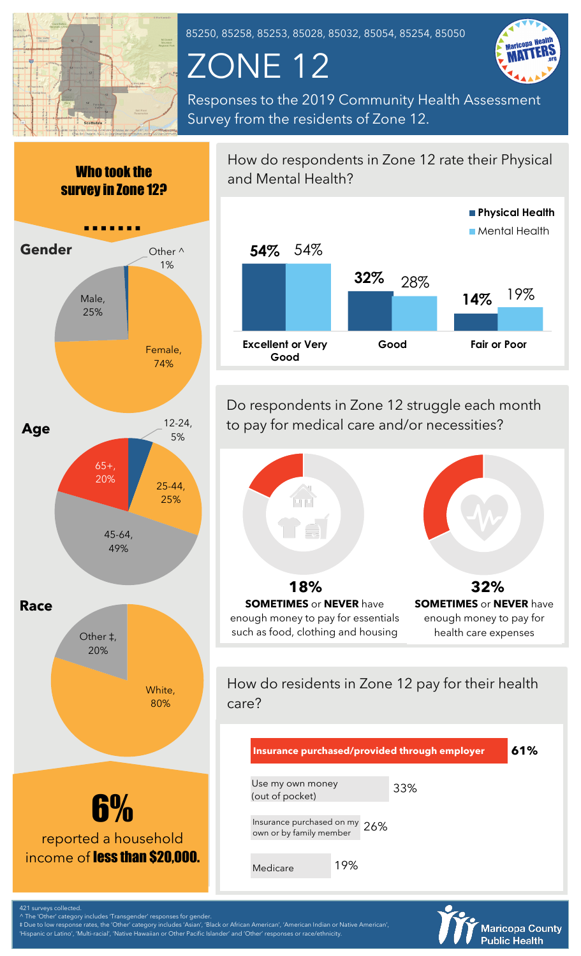

85250, 85258, 85253, 85028, 85032, 85054, 85254, 85050

## ZONE 12



Responses to the 2019 Community Health Assessment Survey from the residents of Zone 12.



and Mental Health? **54% 32% 14%** 54%  $\frac{28\%}{149}$  19% **Excellent or Very Good Good Fair or Poor Physical Health Mental Health** 

How do respondents in Zone 12 rate their Physical

Do respondents in Zone 12 struggle each month to pay for medical care and/or necessities?



How do residents in Zone 12 pay for their health care?